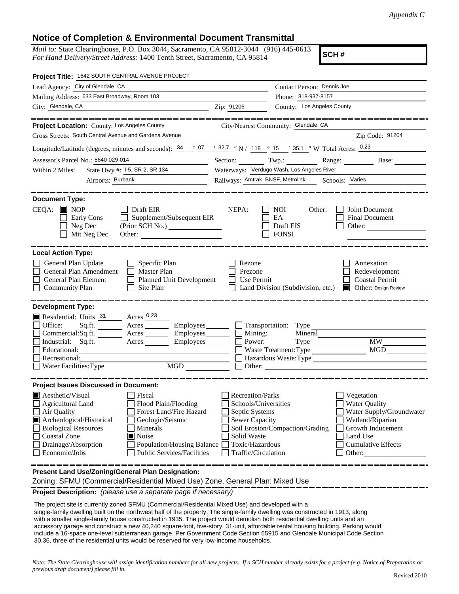## **Notice of Completion & Environmental Document Transmittal**

*Mail to:* State Clearinghouse, P.O. Box 3044, Sacramento, CA 95812-3044 (916) 445-0613 *For Hand Delivery/Street Address:* 1400 Tenth Street, Sacramento, CA 95814

**SCH #**

| Project Title: 1642 SOUTH CENTRAL AVENUE PROJECT                                                                                                                                                                                                                                                                                                                                                                       |                                                                                                                                              |                                                                                                    |                                                                                                                                                            |  |
|------------------------------------------------------------------------------------------------------------------------------------------------------------------------------------------------------------------------------------------------------------------------------------------------------------------------------------------------------------------------------------------------------------------------|----------------------------------------------------------------------------------------------------------------------------------------------|----------------------------------------------------------------------------------------------------|------------------------------------------------------------------------------------------------------------------------------------------------------------|--|
| Lead Agency: City of Glendale, CA                                                                                                                                                                                                                                                                                                                                                                                      |                                                                                                                                              | Contact Person: Dennis Joe                                                                         |                                                                                                                                                            |  |
| Mailing Address: 633 East Broadway, Room 103                                                                                                                                                                                                                                                                                                                                                                           |                                                                                                                                              | Phone: 818-937-8157                                                                                |                                                                                                                                                            |  |
| City: Glendale, CA<br><u> 1989 - Johann Barn, fransk politik amerikansk politik (</u>                                                                                                                                                                                                                                                                                                                                  | Zip: 91206                                                                                                                                   | County: Los Angeles County                                                                         |                                                                                                                                                            |  |
|                                                                                                                                                                                                                                                                                                                                                                                                                        |                                                                                                                                              |                                                                                                    | __________                                                                                                                                                 |  |
| Project Location: County: Los Angeles County                                                                                                                                                                                                                                                                                                                                                                           |                                                                                                                                              | City/Nearest Community: Glendale, CA                                                               |                                                                                                                                                            |  |
| Cross Streets: South Central Avenue and Gardena Avenue                                                                                                                                                                                                                                                                                                                                                                 |                                                                                                                                              |                                                                                                    | Zip Code: 91204                                                                                                                                            |  |
| Longitude/Latitude (degrees, minutes and seconds): $\frac{34}{907}$ $\frac{07}{132.7}$ "N / 118 $\degree$ 15 $\degree$ 15 $\degree$ 15 Total Acres: $\frac{0.23}{13.7}$                                                                                                                                                                                                                                                |                                                                                                                                              |                                                                                                    |                                                                                                                                                            |  |
| Assessor's Parcel No.: 5640-029-014                                                                                                                                                                                                                                                                                                                                                                                    | Section: Twp.: Range: Base:                                                                                                                  |                                                                                                    |                                                                                                                                                            |  |
| State Hwy #: 1-5, SR 2, SR 134<br>Within 2 Miles:                                                                                                                                                                                                                                                                                                                                                                      | Waterways: Verdugo Wash, Los Angeles River                                                                                                   |                                                                                                    |                                                                                                                                                            |  |
| Airports: Burbank                                                                                                                                                                                                                                                                                                                                                                                                      | Railways: Amtrak, BNSF, Metrolink Schools: Varies                                                                                            |                                                                                                    |                                                                                                                                                            |  |
| <b>Document Type:</b><br>$CEQA:$ MOP<br>$\Box$ Draft EIR<br>Supplement/Subsequent EIR<br>Early Cons<br>$\Box$<br>Neg Dec<br>(Prior SCH No.) ________________<br>Mit Neg Dec<br>Other:                                                                                                                                                                                                                                  | NEPA:                                                                                                                                        | NOI<br>Other:<br>EA<br>Draft EIS<br><b>FONSI</b>                                                   | Joint Document<br><b>Final Document</b><br>Other:                                                                                                          |  |
| <b>Local Action Type:</b><br>General Plan Update<br>$\Box$ Specific Plan<br>General Plan Amendment<br>Master Plan<br>General Plan Element<br>Planned Unit Development<br><b>Community Plan</b><br>Site Plan<br>$\Box$                                                                                                                                                                                                  | Rezone<br>Prezone<br>Use Permit                                                                                                              | Land Division (Subdivision, etc.)                                                                  | Annexation<br>Redevelopment<br><b>Coastal Permit</b><br><b>Other: Design Review</b>                                                                        |  |
| <b>Development Type:</b><br>Residential: Units 31 Acres 0.23<br>Office:<br>$Sq.fit.$ Acres<br>Commercial:Sq.ft. ________ Acres _________ Employees_______<br>Industrial: Sq.ft. ________ Acres _______<br>Employees_______<br>Educational:<br>Recreational:<br>MGD<br>Water Facilities: Type                                                                                                                           | Mining:<br>Power:                                                                                                                            | Employees Transportation: Type<br>Mineral<br>Type<br>Waste Treatment: Type<br>Hazardous Waste:Type | <b>MW</b><br>MGD                                                                                                                                           |  |
| <b>Project Issues Discussed in Document:</b><br>$\blacksquare$ Aesthetic/Visual<br>Fiscal<br><b>Agricultural Land</b><br>Flood Plain/Flooding<br>Forest Land/Fire Hazard<br>Air Quality<br>Archeological/Historical<br>Geologic/Seismic<br><b>Biological Resources</b><br>Minerals<br>Coastal Zone<br>Noise<br>Drainage/Absorption<br><b>Population/Housing Balance</b><br>Economic/Jobs<br>Public Services/Facilities | <b>Recreation/Parks</b><br>Schools/Universities<br>Septic Systems<br>Sewer Capacity<br>Solid Waste<br>Toxic/Hazardous<br>Traffic/Circulation | Soil Erosion/Compaction/Grading                                                                    | Vegetation<br><b>Water Quality</b><br>Water Supply/Groundwater<br>Wetland/Riparian<br>Growth Inducement<br>Land Use<br><b>Cumulative Effects</b><br>Other: |  |
| Present Land Use/Zoning/General Plan Designation:                                                                                                                                                                                                                                                                                                                                                                      |                                                                                                                                              |                                                                                                    |                                                                                                                                                            |  |

Zoning: SFMU (Commercial/Residential Mixed Use) Zone, General Plan: Mixed Use

**Project Description:** *(please use a separate page if necessary)*

 The project site is currently zoned SFMU (Commercial/Residential Mixed Use) and developed with a single-family dwelling built on the northwest half of the property. The single-family dwelling was constructed in 1913, along with a smaller single-family house constructed in 1935. The project would demolish both residential dwelling units and an accessory garage and construct a new 40,240 square-foot, five-story, 31-unit, affordable rental housing building. Parking would include a 16-space one-level subterranean garage. Per Government Code Section 65915 and Glendale Municipal Code Section 30.36, three of the residential units would be reserved for very low-income households.

*Note: The State Clearinghouse will assign identification numbers for all new projects. If a SCH number already exists for a project (e.g. Notice of Preparation or previous draft document) please fill in.*